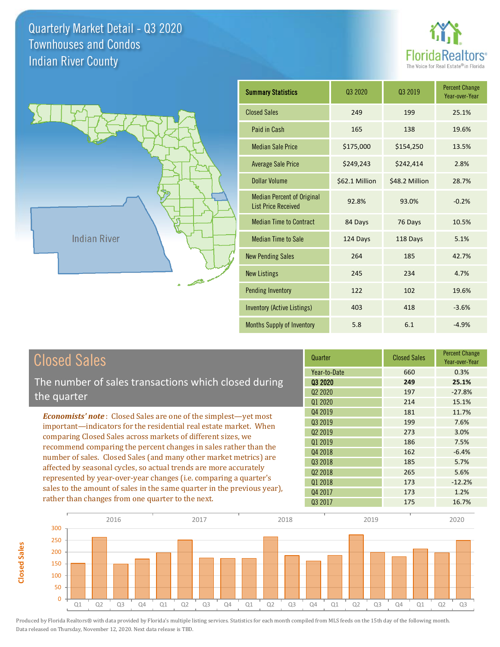**Closed Sales**

**Closed Sales** 





| <b>Summary Statistics</b>                                       | 03 2020        | 03 2019        | <b>Percent Change</b><br>Year-over-Year |
|-----------------------------------------------------------------|----------------|----------------|-----------------------------------------|
| <b>Closed Sales</b>                                             | 249            | 199            | 25.1%                                   |
| Paid in Cash                                                    | 165            | 138            | 19.6%                                   |
| <b>Median Sale Price</b>                                        | \$175,000      | \$154,250      | 13.5%                                   |
| <b>Average Sale Price</b>                                       | \$249,243      | \$242,414      | 2.8%                                    |
| Dollar Volume                                                   | \$62.1 Million | \$48.2 Million | 28.7%                                   |
| <b>Median Percent of Original</b><br><b>List Price Received</b> | 92.8%          | 93.0%          | $-0.2%$                                 |
| <b>Median Time to Contract</b>                                  | 84 Days        | 76 Days        | 10.5%                                   |
| <b>Median Time to Sale</b>                                      | 124 Days       | 118 Days       | 5.1%                                    |
| <b>New Pending Sales</b>                                        | 264            | 185            | 42.7%                                   |
| <b>New Listings</b>                                             | 245            | 234            | 4.7%                                    |
| <b>Pending Inventory</b>                                        | 122            | 102            | 19.6%                                   |
| <b>Inventory (Active Listings)</b>                              | 403            | 418            | $-3.6%$                                 |
| Months Supply of Inventory                                      | 5.8            | 6.1            | $-4.9%$                                 |

| <b>Closed Sales</b>                                                                                                                                                                                   | Quarter             | <b>Closed Sales</b> | <b>Percent Change</b><br>Year-over-Year |
|-------------------------------------------------------------------------------------------------------------------------------------------------------------------------------------------------------|---------------------|---------------------|-----------------------------------------|
|                                                                                                                                                                                                       | Year-to-Date        | 660                 | 0.3%                                    |
| The number of sales transactions which closed during                                                                                                                                                  | 03 2020             | 249                 | 25.1%                                   |
| the quarter                                                                                                                                                                                           | Q <sub>2</sub> 2020 | 197                 | $-27.8%$                                |
|                                                                                                                                                                                                       | Q1 2020             | 214                 | 15.1%                                   |
| <b>Economists' note</b> : Closed Sales are one of the simplest—yet most                                                                                                                               | Q4 2019             | 181                 | 11.7%                                   |
| important—indicators for the residential real estate market. When                                                                                                                                     | Q3 2019             | 199                 | 7.6%                                    |
| comparing Closed Sales across markets of different sizes, we<br>recommend comparing the percent changes in sales rather than the<br>number of sales. Closed Sales (and many other market metrics) are | Q <sub>2</sub> 2019 | 273                 | 3.0%                                    |
|                                                                                                                                                                                                       | Q1 2019             | 186                 | 7.5%                                    |
|                                                                                                                                                                                                       | Q4 2018             | 162                 | $-6.4%$                                 |
|                                                                                                                                                                                                       | 03 2018             | 185                 | 5.7%                                    |
| affected by seasonal cycles, so actual trends are more accurately<br>represented by year-over-year changes (i.e. comparing a quarter's                                                                | Q <sub>2</sub> 2018 | 265                 | 5.6%                                    |
|                                                                                                                                                                                                       | Q1 2018             | 173                 | $-12.2%$                                |
| sales to the amount of sales in the same quarter in the previous year),                                                                                                                               | Q4 2017             | 173                 | 1.2%                                    |
| rather than changes from one quarter to the next.                                                                                                                                                     | 03 2017             | 175                 | 16.7%                                   |

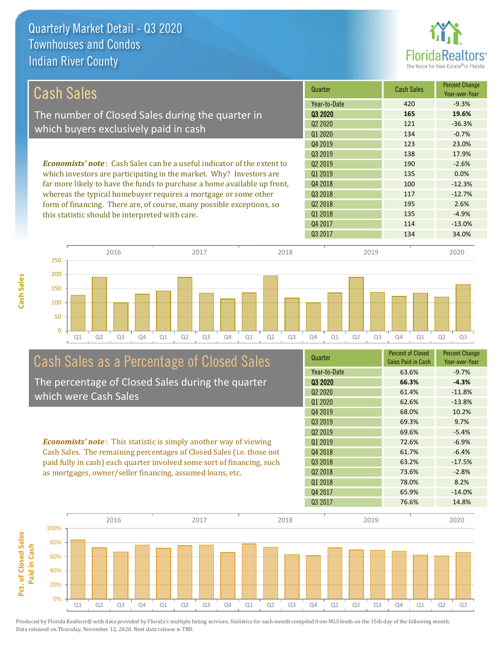**Cash Sales**



| Cash Sales                                                                     | Quarter             | <b>Cash Sales</b> | <b>Percent Change</b><br>Year-over-Year |
|--------------------------------------------------------------------------------|---------------------|-------------------|-----------------------------------------|
|                                                                                | Year-to-Date        | 420               | $-9.3%$                                 |
| The number of Closed Sales during the quarter in                               | Q3 2020             | 165               | 19.6%                                   |
| which buyers exclusively paid in cash                                          | 02 2020             | 121               | $-36.3%$                                |
|                                                                                | 01 2020             | 134               | $-0.7%$                                 |
|                                                                                | Q4 2019             | 123               | 23.0%                                   |
|                                                                                | 03 2019             | 138               | 17.9%                                   |
| <b>Economists' note:</b> Cash Sales can be a useful indicator of the extent to | 02 2019             | 190               | $-2.6%$                                 |
| which investors are participating in the market. Why? Investors are            | 01 2019             | 135               | $0.0\%$                                 |
| far more likely to have the funds to purchase a home available up front,       | Q4 2018             | 100               | $-12.3%$                                |
| whereas the typical homebuyer requires a mortgage or some other                | Q3 2018             | 117               | $-12.7%$                                |
| form of financing. There are, of course, many possible exceptions, so          | Q <sub>2</sub> 2018 | 195               | 2.6%                                    |
| this statistic should be interpreted with care.                                | Q1 2018             | 135               | $-4.9%$                                 |
|                                                                                | Q4 2017             | 114               | $-13.0%$                                |



# Cash Sales as a Percentage of Closed Sales

The percentage of Closed Sales during the quarter which were Cash Sales

*Economists' note* : This statistic is simply another way of viewing Cash Sales. The remaining percentages of Closed Sales (i.e. those not paid fully in cash) each quarter involved some sort of financing, such as mortgages, owner/seller financing, assumed loans, etc.

| Quarter                         | <b>Percent of Closed</b><br>Sales Paid in Cash | <b>Percent Change</b><br>Year-over-Year |
|---------------------------------|------------------------------------------------|-----------------------------------------|
| Year-to-Date                    | 63.6%                                          | $-9.7%$                                 |
| Q3 2020                         | 66.3%                                          | $-4.3%$                                 |
| Q <sub>2</sub> 20 <sub>20</sub> | 61.4%                                          | $-11.8%$                                |
| Q1 2020                         | 62.6%                                          | $-13.8%$                                |
| Q4 2019                         | 68.0%                                          | 10.2%                                   |
| 03 2019                         | 69.3%                                          | 9.7%                                    |
| Q <sub>2</sub> 2019             | 69.6%                                          | $-5.4%$                                 |
| 01 2019                         | 72.6%                                          | $-6.9%$                                 |
| Q4 2018                         | 61.7%                                          | $-6.4%$                                 |
| 03 2018                         | 63.2%                                          | $-17.5%$                                |
| 02 2018                         | 73.6%                                          | $-2.8%$                                 |
| Q1 2018                         | 78.0%                                          | 8.2%                                    |
| Q4 2017                         | 65.9%                                          | $-14.0%$                                |
| Q3 2017                         | 76.6%                                          | 14.8%                                   |

Q3 2017 134 34.0%

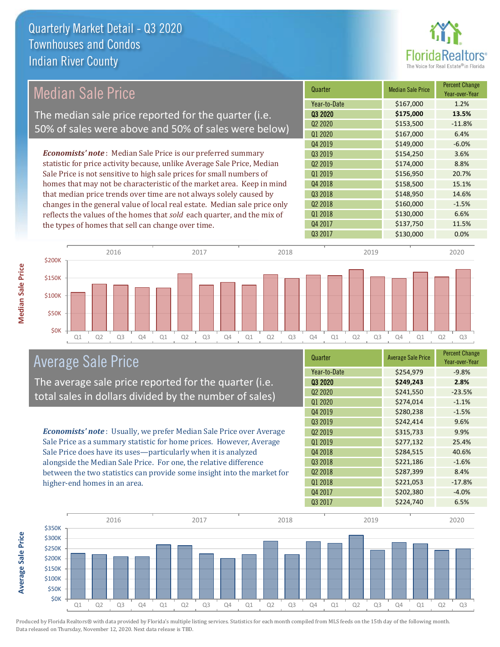

### Median Sale Price

The median sale price reported for the quarter (i.e. 50% of sales were above and 50% of sales were below)

*Economists' note* : Median Sale Price is our preferred summary statistic for price activity because, unlike Average Sale Price, Median Sale Price is not sensitive to high sale prices for small numbers of homes that may not be characteristic of the market area. Keep in mind that median price trends over time are not always solely caused by changes in the general value of local real estate. Median sale price only reflects the values of the homes that *sold* each quarter, and the mix of the types of homes that sell can change over time.

| Quarter                         | <b>Median Sale Price</b> | <b>Percent Change</b><br>Year-over-Year |
|---------------------------------|--------------------------|-----------------------------------------|
| Year-to-Date                    | \$167,000                | 1.2%                                    |
| Q3 2020                         | \$175,000                | 13.5%                                   |
| Q <sub>2</sub> 20 <sub>20</sub> | \$153,500                | $-11.8%$                                |
| Q1 2020                         | \$167,000                | 6.4%                                    |
| Q4 2019                         | \$149,000                | $-6.0%$                                 |
| Q3 2019                         | \$154,250                | 3.6%                                    |
| Q <sub>2</sub> 2019             | \$174,000                | 8.8%                                    |
| Q1 2019                         | \$156,950                | 20.7%                                   |
| Q4 2018                         | \$158,500                | 15.1%                                   |
| Q3 2018                         | \$148,950                | 14.6%                                   |
| Q <sub>2</sub> 2018             | \$160,000                | $-1.5%$                                 |
| Q1 2018                         | \$130,000                | 6.6%                                    |
| Q4 2017                         | \$137,750                | 11.5%                                   |
| Q3 2017                         | \$130,000                | 0.0%                                    |



### Average Sale Price

The average sale price reported for the quarter (i.e. total sales in dollars divided by the number of sales)

*Economists' note* : Usually, we prefer Median Sale Price over Average Sale Price as a summary statistic for home prices. However, Average Sale Price does have its uses—particularly when it is analyzed alongside the Median Sale Price. For one, the relative difference between the two statistics can provide some insight into the market for higher-end homes in an area.

| Quarter                         | <b>Average Sale Price</b> | <b>Percent Change</b><br>Year-over-Year |
|---------------------------------|---------------------------|-----------------------------------------|
| Year-to-Date                    | \$254,979                 | $-9.8%$                                 |
| 03 2020                         | \$249,243                 | 2.8%                                    |
| Q <sub>2</sub> 20 <sub>20</sub> | \$241,550                 | $-23.5%$                                |
| Q1 2020                         | \$274,014                 | $-1.1%$                                 |
| Q4 2019                         | \$280,238                 | $-1.5%$                                 |
| Q3 2019                         | \$242,414                 | 9.6%                                    |
| Q <sub>2</sub> 2019             | \$315,733                 | 9.9%                                    |
| Q1 2019                         | \$277,132                 | 25.4%                                   |
| Q4 2018                         | \$284,515                 | 40.6%                                   |
| Q3 2018                         | \$221,186                 | $-1.6%$                                 |
| Q <sub>2</sub> 2018             | \$287,399                 | 8.4%                                    |
| Q1 2018                         | \$221,053                 | $-17.8%$                                |
| Q4 2017                         | \$202,380                 | $-4.0%$                                 |
| Q3 2017                         | \$224,740                 | 6.5%                                    |



**Median Sale Price**

**Median Sale Price**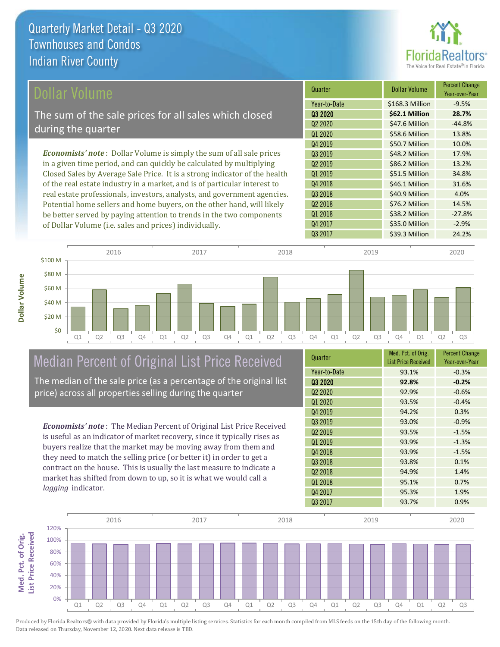

| Dollar Volume                                                                | Quarter             | <b>Dollar Volume</b> | <b>Percent Change</b><br>Year-over-Year |
|------------------------------------------------------------------------------|---------------------|----------------------|-----------------------------------------|
|                                                                              | Year-to-Date        | \$168.3 Million      | $-9.5%$                                 |
| The sum of the sale prices for all sales which closed                        | 03 2020             | \$62.1 Million       | 28.7%                                   |
|                                                                              | Q <sub>2</sub> 2020 | \$47.6 Million       | $-44.8%$                                |
| during the quarter                                                           | Q1 2020             | \$58.6 Million       | 13.8%                                   |
|                                                                              | Q4 2019             | \$50.7 Million       | 10.0%                                   |
| <b>Economists' note</b> : Dollar Volume is simply the sum of all sale prices | 03 2019             | \$48.2 Million       | 17.9%                                   |
| in a given time period, and can quickly be calculated by multiplying         | 02 2019             | \$86.2 Million       | 13.2%                                   |
| Closed Sales by Average Sale Price. It is a strong indicator of the health   | Q1 2019             | \$51.5 Million       | 34.8%                                   |
| of the real estate industry in a market, and is of particular interest to    | Q4 2018             | \$46.1 Million       | 31.6%                                   |
| real estate professionals, investors, analysts, and government agencies.     | Q3 2018             | \$40.9 Million       | 4.0%                                    |
| Potential home sellers and home buyers, on the other hand, will likely       | Q <sub>2</sub> 2018 | \$76.2 Million       | 14.5%                                   |
| be better served by paying attention to trends in the two components         | Q1 2018             | \$38.2 Million       | $-27.8%$                                |
| of Dollar Volume (i.e. sales and prices) individually.                       | Q4 2017             | \$35.0 Million       | $-2.9%$                                 |



# Median Percent of Original List Price Received

The median of the sale price (as a percentage of the original list price) across all properties selling during the quarter

*Economists' note* : The Median Percent of Original List Price Received is useful as an indicator of market recovery, since it typically rises as buyers realize that the market may be moving away from them and they need to match the selling price (or better it) in order to get a contract on the house. This is usually the last measure to indicate a market has shifted from down to up, so it is what we would call a *lagging* indicator.

| Quarter                         | Med. Pct. of Orig.<br><b>List Price Received</b> | <b>Percent Change</b><br>Year-over-Year |
|---------------------------------|--------------------------------------------------|-----------------------------------------|
| Year-to-Date                    | 93.1%                                            | $-0.3%$                                 |
| Q3 2020                         | 92.8%                                            | $-0.2%$                                 |
| Q <sub>2</sub> 20 <sub>20</sub> | 92.9%                                            | $-0.6%$                                 |
| Q1 2020                         | 93.5%                                            | $-0.4%$                                 |
| Q4 2019                         | 94.2%                                            | 0.3%                                    |
| Q3 2019                         | 93.0%                                            | $-0.9%$                                 |
| Q <sub>2</sub> 2019             | 93.5%                                            | $-1.5%$                                 |
| Q1 2019                         | 93.9%                                            | $-1.3%$                                 |
| Q4 2018                         | 93.9%                                            | $-1.5%$                                 |
| Q3 2018                         | 93.8%                                            | 0.1%                                    |
| Q <sub>2</sub> 2018             | 94.9%                                            | 1.4%                                    |
| Q1 2018                         | 95.1%                                            | 0.7%                                    |
| Q4 2017                         | 95.3%                                            | 1.9%                                    |
| Q3 2017                         | 93.7%                                            | 0.9%                                    |

Q3 2017 **Samuel 24.2% Samuel 24.2%** 

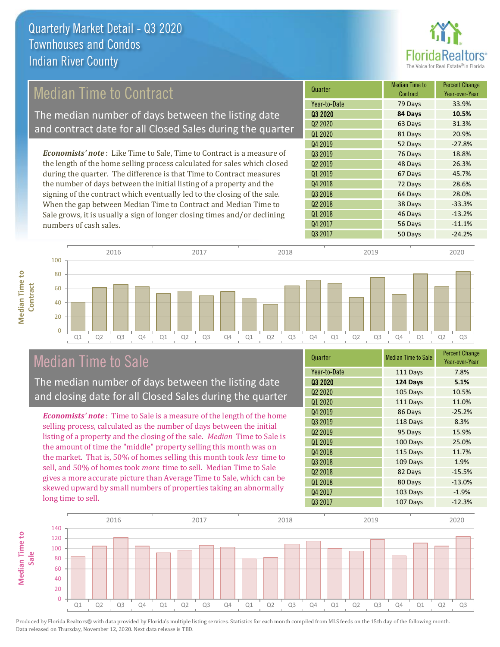

### Median Time to Contract

The median number of days between the listing date and contract date for all Closed Sales during the quarter

*Economists' note* : Like Time to Sale, Time to Contract is a measure of the length of the home selling process calculated for sales which closed during the quarter. The difference is that Time to Contract measures the number of days between the initial listing of a property and the signing of the contract which eventually led to the closing of the sale. When the gap between Median Time to Contract and Median Time to Sale grows, it is usually a sign of longer closing times and/or declining numbers of cash sales.





### Median Time to Sale

**Median Time to** 

**Median Time to** 

The median number of days between the listing date and closing date for all Closed Sales during the quarter

*Economists' note* : Time to Sale is a measure of the length of the home selling process, calculated as the number of days between the initial listing of a property and the closing of the sale. *Median* Time to Sale is the amount of time the "middle" property selling this month was on the market. That is, 50% of homes selling this month took *less* time to sell, and 50% of homes took *more* time to sell. Median Time to Sale gives a more accurate picture than Average Time to Sale, which can be skewed upward by small numbers of properties taking an abnormally long time to sell.

| Quarter                         | <b>Median Time to Sale</b> | <b>Percent Change</b><br>Year-over-Year |
|---------------------------------|----------------------------|-----------------------------------------|
| Year-to-Date                    | 111 Days                   | 7.8%                                    |
| 03 2020                         | 124 Days                   | 5.1%                                    |
| Q <sub>2</sub> 20 <sub>20</sub> | 105 Days                   | 10.5%                                   |
| Q1 2020                         | 111 Days                   | 11.0%                                   |
| Q4 2019                         | 86 Days                    | $-25.2%$                                |
| 03 2019                         | 118 Days                   | 8.3%                                    |
| Q <sub>2</sub> 2019             | 95 Days                    | 15.9%                                   |
| Q1 2019                         | 100 Days                   | 25.0%                                   |
| Q4 2018                         | 115 Days                   | 11.7%                                   |
| Q3 2018                         | 109 Days                   | 1.9%                                    |
| Q <sub>2</sub> 2018             | 82 Days                    | $-15.5%$                                |
| Q1 2018                         | 80 Days                    | $-13.0%$                                |
| Q4 2017                         | 103 Days                   | $-1.9%$                                 |
| Q3 2017                         | 107 Days                   | $-12.3%$                                |

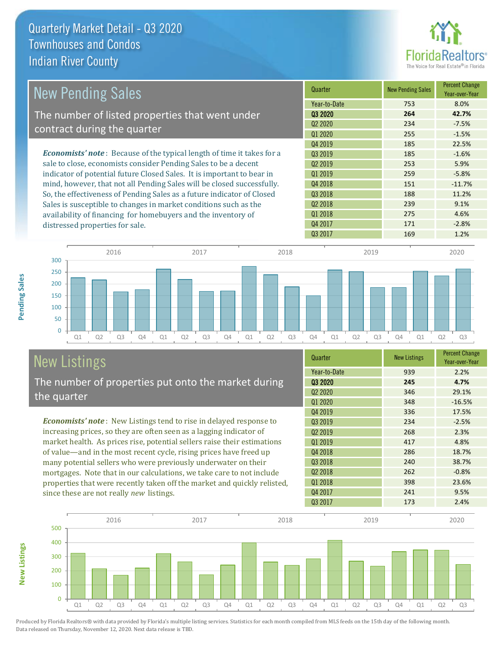

| New Pending Sales                                                              | Quarter             | <b>New Pending Sales</b> | <b>Percent Change</b><br>Year-over-Year |
|--------------------------------------------------------------------------------|---------------------|--------------------------|-----------------------------------------|
|                                                                                | Year-to-Date        | 753                      | 8.0%                                    |
| The number of listed properties that went under                                | 03 2020             | 264                      | 42.7%                                   |
| contract during the quarter                                                    | Q <sub>2</sub> 2020 | 234                      | $-7.5%$                                 |
|                                                                                | Q1 2020             | 255                      | $-1.5%$                                 |
|                                                                                | Q4 2019             | 185                      | 22.5%                                   |
| <b>Economists' note</b> : Because of the typical length of time it takes for a | Q3 2019             | 185                      | $-1.6%$                                 |
| sale to close, economists consider Pending Sales to be a decent                | 02 2019             | 253                      | 5.9%                                    |
| indicator of potential future Closed Sales. It is important to bear in         | Q1 2019             | 259                      | $-5.8%$                                 |
| mind, however, that not all Pending Sales will be closed successfully.         | Q4 2018             | 151                      | $-11.7%$                                |
| So, the effectiveness of Pending Sales as a future indicator of Closed         | Q3 2018             | 188                      | 11.2%                                   |
| Sales is susceptible to changes in market conditions such as the               | Q <sub>2</sub> 2018 | 239                      | 9.1%                                    |
| availability of financing for homebuyers and the inventory of                  | Q1 2018             | 275                      | 4.6%                                    |



# New Listings

**New Listings**

**Pending Sales**

Pending Sales

distressed properties for sale.

The number of properties put onto the market during the quarter

*Economists' note* : New Listings tend to rise in delayed response to increasing prices, so they are often seen as a lagging indicator of market health. As prices rise, potential sellers raise their estimations of value—and in the most recent cycle, rising prices have freed up many potential sellers who were previously underwater on their mortgages. Note that in our calculations, we take care to not include properties that were recently taken off the market and quickly relisted, since these are not really *new* listings.

| Quarter             | <b>New Listings</b> | <b>Percent Change</b><br>Year-over-Year |
|---------------------|---------------------|-----------------------------------------|
| Year-to-Date        | 939                 | 2.2%                                    |
| Q3 2020             | 245                 | 4.7%                                    |
| Q <sub>2</sub> 2020 | 346                 | 29.1%                                   |
| Q1 2020             | 348                 | $-16.5%$                                |
| Q4 2019             | 336                 | 17.5%                                   |
| Q3 2019             | 234                 | $-2.5%$                                 |
| Q <sub>2</sub> 2019 | 268                 | 2.3%                                    |
| 01 2019             | 417                 | 4.8%                                    |
| Q4 2018             | 286                 | 18.7%                                   |
| Q3 2018             | 240                 | 38.7%                                   |
| 02 2018             | 262                 | $-0.8%$                                 |
| Q1 2018             | 398                 | 23.6%                                   |
| Q4 2017             | 241                 | 9.5%                                    |
| Q3 2017             | 173                 | 2.4%                                    |

Q4 2017 171 -2.8% Q3 2017 169 169 1.2%

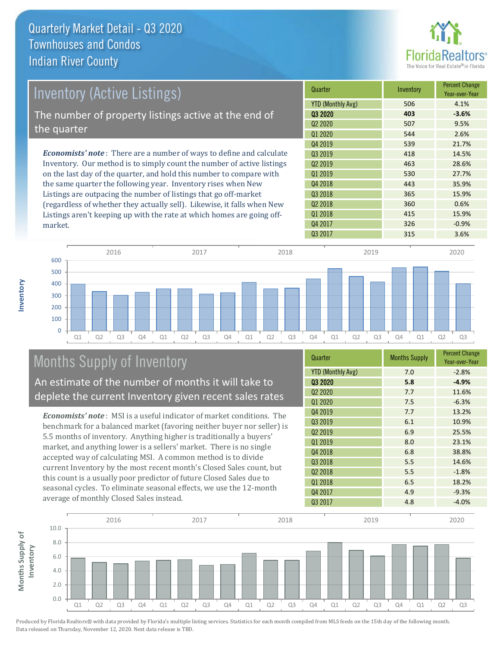

| <b>Inventory (Active Listings)</b>                                           | Quarter             | Inventory | <b>Percent Change</b><br>Year-over-Year |
|------------------------------------------------------------------------------|---------------------|-----------|-----------------------------------------|
|                                                                              | YTD (Monthly Avg)   | 506       | 4.1%                                    |
| The number of property listings active at the end of                         | 03 2020             | 403       | $-3.6%$                                 |
|                                                                              | Q <sub>2</sub> 2020 | 507       | 9.5%                                    |
| the quarter                                                                  | Q1 2020             | 544       | 2.6%                                    |
|                                                                              | Q4 2019             | 539       | 21.7%                                   |
| <b>Economists' note</b> : There are a number of ways to define and calculate | 03 2019             | 418       | 14.5%                                   |
| Inventory. Our method is to simply count the number of active listings       | Q <sub>2</sub> 2019 | 463       | 28.6%                                   |
| on the last day of the quarter, and hold this number to compare with         | 01 2019             | 530       | 27.7%                                   |
| the same quarter the following year. Inventory rises when New                | Q4 2018             | 443       | 35.9%                                   |
| Listings are outpacing the number of listings that go off-market             | Q3 2018             | 365       | 15.9%                                   |
| (regardless of whether they actually sell). Likewise, it falls when New      | Q <sub>2</sub> 2018 | 360       | 0.6%                                    |
| Listings aren't keeping up with the rate at which homes are going off-       | 01 2018             | 415       | 15.9%                                   |



# Months Supply of Inventory

market.

**Inventory**

An estimate of the number of months it will take to deplete the current Inventory given recent sales rates

*Economists' note* : MSI is a useful indicator of market conditions. The benchmark for a balanced market (favoring neither buyer nor seller) is 5.5 months of inventory. Anything higher is traditionally a buyers' market, and anything lower is a sellers' market. There is no single accepted way of calculating MSI. A common method is to divide current Inventory by the most recent month's Closed Sales count, but this count is a usually poor predictor of future Closed Sales due to seasonal cycles. To eliminate seasonal effects, we use the 12-month average of monthly Closed Sales instead.

| Quarter                         | <b>Months Supply</b> | <b>Percent Change</b><br>Year-over-Year |
|---------------------------------|----------------------|-----------------------------------------|
| <b>YTD (Monthly Avg)</b>        | 7.0                  | $-2.8%$                                 |
| 03 2020                         | 5.8                  | $-4.9%$                                 |
| Q <sub>2</sub> 20 <sub>20</sub> | 7.7                  | 11.6%                                   |
| Q1 2020                         | 7.5                  | $-6.3%$                                 |
| Q4 2019                         | 7.7                  | 13.2%                                   |
| Q3 2019                         | 6.1                  | 10.9%                                   |
| Q <sub>2</sub> 2019             | 6.9                  | 25.5%                                   |
| Q1 2019                         | 8.0                  | 23.1%                                   |
| Q4 2018                         | 6.8                  | 38.8%                                   |
| Q3 2018                         | 5.5                  | 14.6%                                   |
| Q <sub>2</sub> 2018             | 5.5                  | $-1.8%$                                 |
| Q1 2018                         | 6.5                  | 18.2%                                   |
| Q4 2017                         | 4.9                  | $-9.3%$                                 |
| Q3 2017                         | 4.8                  | $-4.0%$                                 |

Q4 2017 326 326 -0.9%

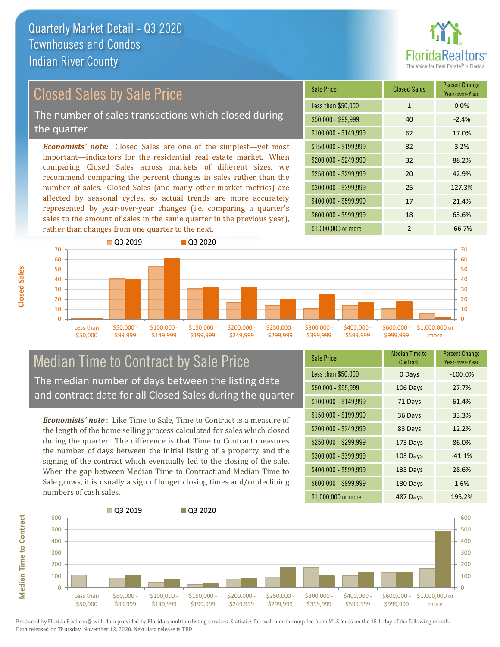

### Closed Sales by Sale Price

The number of sales transactions which closed during the quarter

*Economists' note:* Closed Sales are one of the simplest—yet most important—indicators for the residential real estate market. When comparing Closed Sales across markets of different sizes, we recommend comparing the percent changes in sales rather than the number of sales. Closed Sales (and many other market metrics) are affected by seasonal cycles, so actual trends are more accurately represented by year-over-year changes (i.e. comparing a quarter's sales to the amount of sales in the same quarter in the previous year), rather than changes from one quarter to the next.

| Sale Price            | <b>Closed Sales</b> | <b>Percent Change</b><br>Year-over-Year |
|-----------------------|---------------------|-----------------------------------------|
| Less than \$50,000    | $\mathbf{1}$        | 0.0%                                    |
| $$50,000 - $99,999$   | 40                  | $-2.4%$                                 |
| $$100,000 - $149,999$ | 62                  | 17.0%                                   |
| $$150,000 - $199,999$ | 32                  | 3.2%                                    |
| \$200,000 - \$249,999 | 32                  | 88.2%                                   |
| \$250,000 - \$299,999 | 20                  | 42.9%                                   |
| \$300,000 - \$399,999 | 25                  | 127.3%                                  |
| \$400,000 - \$599,999 | 17                  | 21.4%                                   |
| \$600,000 - \$999,999 | 18                  | 63.6%                                   |
| \$1,000,000 or more   | $\mathfrak{p}$      | $-66.7%$                                |



### Median Time to Contract by Sale Price The median number of days between the listing date and contract date for all Closed Sales during the quarter

*Economists' note* : Like Time to Sale, Time to Contract is a measure of the length of the home selling process calculated for sales which closed during the quarter. The difference is that Time to Contract measures the number of days between the initial listing of a property and the signing of the contract which eventually led to the closing of the sale. When the gap between Median Time to Contract and Median Time to Sale grows, it is usually a sign of longer closing times and/or declining numbers of cash sales.

| <b>Sale Price</b>     | Median Time to<br>Contract | <b>Percent Change</b><br>Year-over-Year |
|-----------------------|----------------------------|-----------------------------------------|
| Less than \$50,000    | 0 Days                     | $-100.0%$                               |
| $$50,000 - $99,999$   | 106 Days                   | 27.7%                                   |
| $$100,000 - $149,999$ | 71 Days                    | 61.4%                                   |
| $$150,000 - $199,999$ | 36 Days                    | 33.3%                                   |
| \$200,000 - \$249,999 | 83 Days                    | 12.2%                                   |
| \$250,000 - \$299,999 | 173 Days                   | 86.0%                                   |
| \$300,000 - \$399,999 | 103 Days                   | $-41.1%$                                |
| \$400,000 - \$599,999 | 135 Days                   | 28.6%                                   |
| \$600,000 - \$999,999 | 130 Days                   | 1.6%                                    |
| \$1,000,000 or more   | 487 Days                   | 195.2%                                  |



Produced by Florida Realtors® with data provided by Florida's multiple listing services. Statistics for each month compiled from MLS feeds on the 15th day of the following month. Data released on Thursday, November 12, 2020. Next data release is TBD.

**Median Time to Contract**

**Median Time to Contract**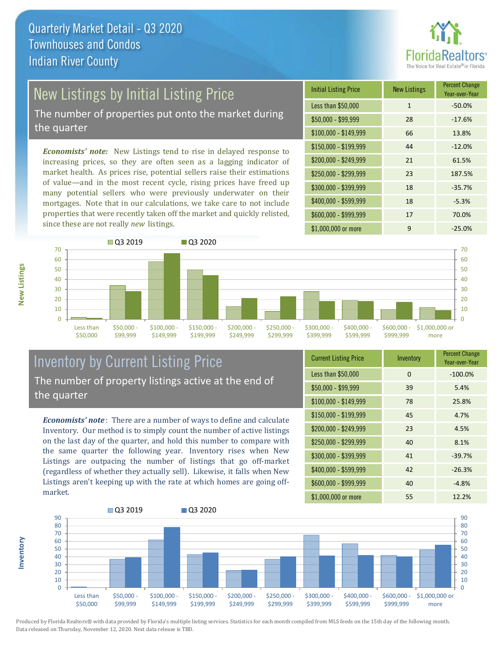

# New Listings by Initial Listing Price

The number of properties put onto the market during the quarter

*Economists' note:* New Listings tend to rise in delayed response to increasing prices, so they are often seen as a lagging indicator of market health. As prices rise, potential sellers raise their estimations of value—and in the most recent cycle, rising prices have freed up many potential sellers who were previously underwater on their mortgages. Note that in our calculations, we take care to not include properties that were recently taken off the market and quickly relisted, since these are not really *new* listings.

| <b>Initial Listing Price</b> | <b>New Listings</b> | <b>Percent Change</b><br>Year-over-Year |
|------------------------------|---------------------|-----------------------------------------|
| Less than \$50,000           | $\mathbf{1}$        | $-50.0%$                                |
| $$50,000 - $99,999$          | 28                  | $-17.6%$                                |
| $$100,000 - $149,999$        | 66                  | 13.8%                                   |
| $$150,000 - $199,999$        | 44                  | $-12.0%$                                |
| \$200,000 - \$249,999        | 21                  | 61.5%                                   |
| \$250,000 - \$299,999        | 23                  | 187.5%                                  |
| \$300,000 - \$399,999        | 18                  | $-35.7%$                                |
| \$400,000 - \$599,999        | 18                  | $-5.3%$                                 |
| \$600,000 - \$999,999        | 17                  | 70.0%                                   |
| \$1,000,000 or more          | 9                   | $-25.0%$                                |



### Inventory by Current Listing Price The number of property listings active at the end of the quarter

*Economists' note* : There are a number of ways to define and calculate Inventory. Our method is to simply count the number of active listings on the last day of the quarter, and hold this number to compare with the same quarter the following year. Inventory rises when New Listings are outpacing the number of listings that go off-market (regardless of whether they actually sell). Likewise, it falls when New Listings aren't keeping up with the rate at which homes are going offmarket.

| <b>Current Listing Price</b> | Inventory | <b>Percent Change</b><br>Year-over-Year |
|------------------------------|-----------|-----------------------------------------|
| Less than \$50,000           | 0         | $-100.0%$                               |
| $$50,000 - $99,999$          | 39        | 5.4%                                    |
| $$100,000 - $149,999$        | 78        | 25.8%                                   |
| $$150,000 - $199,999$        | 45        | 4.7%                                    |
| \$200,000 - \$249,999        | 23        | 4.5%                                    |
| \$250,000 - \$299,999        | 40        | 8.1%                                    |
| \$300,000 - \$399,999        | 41        | $-39.7%$                                |
| \$400,000 - \$599,999        | 42        | $-26.3%$                                |
| \$600,000 - \$999,999        | 40        | $-4.8%$                                 |
| \$1,000,000 or more          | 55        | 12.2%                                   |



Produced by Florida Realtors® with data provided by Florida's multiple listing services. Statistics for each month compiled from MLS feeds on the 15th day of the following month. Data released on Thursday, November 12, 2020. Next data release is TBD.

**Inventory**